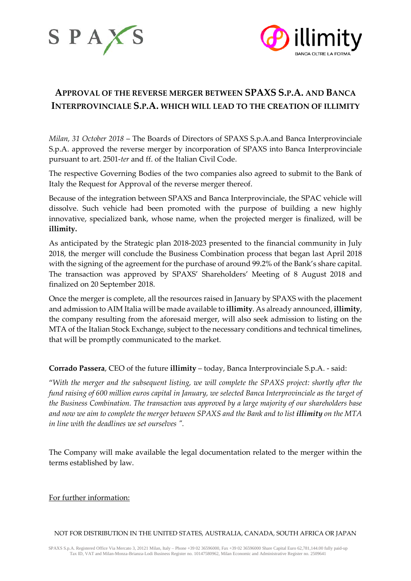



## **APPROVAL OF THE REVERSE MERGER BETWEEN SPAXS S.P.A. AND BANCA INTERPROVINCIALE S.P.A. WHICH WILL LEAD TO THE CREATION OF ILLIMITY**

*Milan, 31 October 2018* – The Boards of Directors of SPAXS S.p.A.and Banca Interprovinciale S.p.A. approved the reverse merger by incorporation of SPAXS into Banca Interprovinciale pursuant to art. 2501-*ter* and ff. of the Italian Civil Code.

The respective Governing Bodies of the two companies also agreed to submit to the Bank of Italy the Request for Approval of the reverse merger thereof.

Because of the integration between SPAXS and Banca Interprovinciale, the SPAC vehicle will dissolve. Such vehicle had been promoted with the purpose of building a new highly innovative, specialized bank, whose name, when the projected merger is finalized, will be **illimity.**

As anticipated by the Strategic plan 2018-2023 presented to the financial community in July 2018, the merger will conclude the Business Combination process that began last April 2018 with the signing of the agreement for the purchase of around 99.2% of the Bank's share capital. The transaction was approved by SPAXS' Shareholders' Meeting of 8 August 2018 and finalized on 20 September 2018.

Once the merger is complete, all the resources raised in January by SPAXS with the placement and admission to AIM Italia will be made available to **illimity**. As already announced, **illimity**, the company resulting from the aforesaid merger, will also seek admission to listing on the MTA of the Italian Stock Exchange, subject to the necessary conditions and technical timelines, that will be promptly communicated to the market.

**Corrado Passera**, CEO of the future **illimity** – today, Banca Interprovinciale S.p.A. - said:

"*With the merger and the subsequent listing, we will complete the SPAXS project: shortly after the fund raising of 600 million euros capital in January, we selected Banca Interprovinciale as the target of the Business Combination. The transaction was approved by a large majority of our shareholders base and now we aim to complete the merger between SPAXS and the Bank and to list illimity on the MTA in line with the deadlines we set ourselves ".*

The Company will make available the legal documentation related to the merger within the terms established by law.

For further information:

NOT FOR DISTRIBUTION IN THE UNITED STATES, AUSTRALIA, CANADA, SOUTH AFRICA OR JAPAN